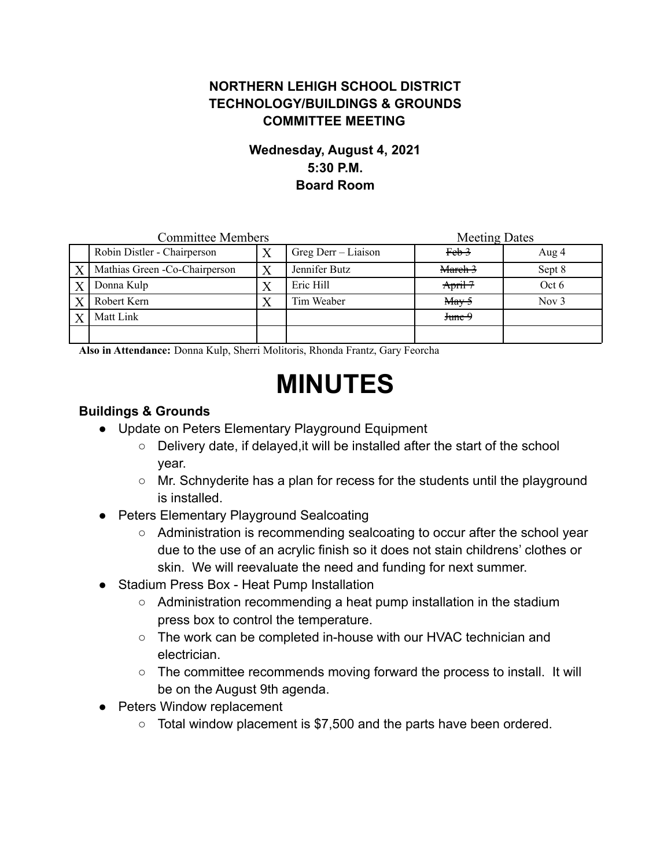## **NORTHERN LEHIGH SCHOOL DISTRICT TECHNOLOGY/BUILDINGS & GROUNDS COMMITTEE MEETING**

### **Wednesday, August 4, 2021 5:30 P.M. Board Room**

| <b>Committee Members</b> |                                |  |                     | <b>Meeting Dates</b>                  |         |
|--------------------------|--------------------------------|--|---------------------|---------------------------------------|---------|
|                          | Robin Distler - Chairperson    |  | Greg Derr – Liaison | <del>Feb 3</del>                      | Aug 4   |
| $\boldsymbol{X}$         | Mathias Green - Co-Chairperson |  | Jennifer Butz       | March 3                               | Sept 8  |
|                          | Donna Kulp                     |  | Eric Hill           | Arri <sup>17</sup>                    | Oct 6   |
|                          | Robert Kern                    |  | Tim Weaber          | $\frac{\text{May } 5}{\text{May } 5}$ | Nov $3$ |
|                          | Matt Link                      |  |                     | June 9                                |         |
|                          |                                |  |                     |                                       |         |

**Also in Attendance:** Donna Kulp, Sherri Molitoris, Rhonda Frantz, Gary Feorcha

# **MINUTES**

### **Buildings & Grounds**

- Update on Peters Elementary Playground Equipment
	- Delivery date, if delayed,it will be installed after the start of the school year.
	- Mr. Schnyderite has a plan for recess for the students until the playground is installed.
- Peters Elementary Playground Sealcoating
	- Administration is recommending sealcoating to occur after the school year due to the use of an acrylic finish so it does not stain childrens' clothes or skin. We will reevaluate the need and funding for next summer.
- Stadium Press Box Heat Pump Installation
	- Administration recommending a heat pump installation in the stadium press box to control the temperature.
	- The work can be completed in-house with our HVAC technician and electrician.
	- The committee recommends moving forward the process to install. It will be on the August 9th agenda.
- Peters Window replacement
	- Total window placement is \$7,500 and the parts have been ordered.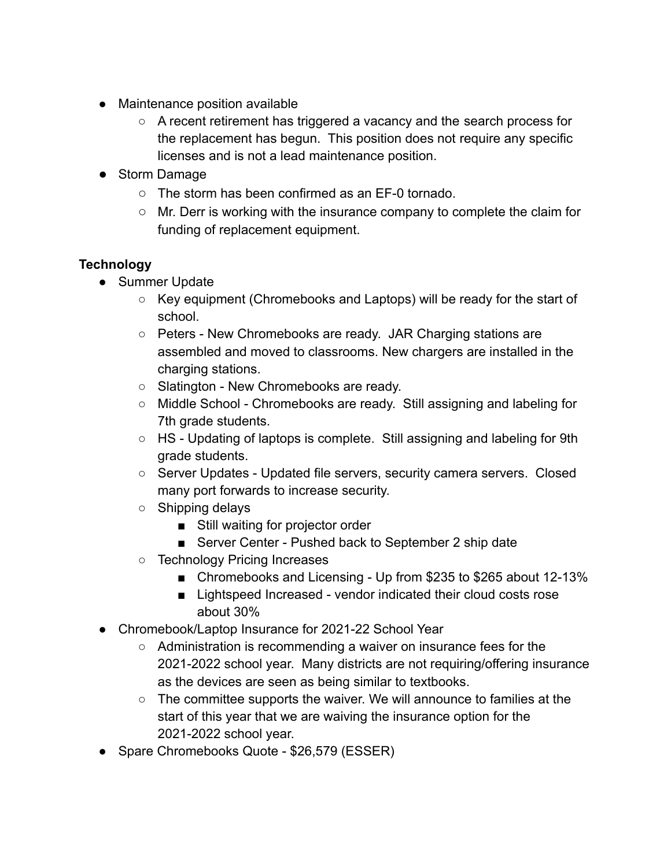- Maintenance position available
	- A recent retirement has triggered a vacancy and the search process for the replacement has begun. This position does not require any specific licenses and is not a lead maintenance position.
- Storm Damage
	- The storm has been confirmed as an EF-0 tornado.
	- Mr. Derr is working with the insurance company to complete the claim for funding of replacement equipment.

### **Technology**

- Summer Update
	- Key equipment (Chromebooks and Laptops) will be ready for the start of school.
	- Peters New Chromebooks are ready. JAR Charging stations are assembled and moved to classrooms. New chargers are installed in the charging stations.
	- Slatington New Chromebooks are ready.
	- Middle School Chromebooks are ready. Still assigning and labeling for 7th grade students.
	- HS Updating of laptops is complete. Still assigning and labeling for 9th grade students.
	- Server Updates Updated file servers, security camera servers. Closed many port forwards to increase security.
	- Shipping delays
		- Still waiting for projector order
		- Server Center Pushed back to September 2 ship date
	- Technology Pricing Increases
		- Chromebooks and Licensing Up from \$235 to \$265 about 12-13%
		- Lightspeed Increased vendor indicated their cloud costs rose about 30%
- Chromebook/Laptop Insurance for 2021-22 School Year
	- Administration is recommending a waiver on insurance fees for the 2021-2022 school year. Many districts are not requiring/offering insurance as the devices are seen as being similar to textbooks.
	- The committee supports the waiver. We will announce to families at the start of this year that we are waiving the insurance option for the 2021-2022 school year.
- Spare Chromebooks Quote \$26,579 (ESSER)